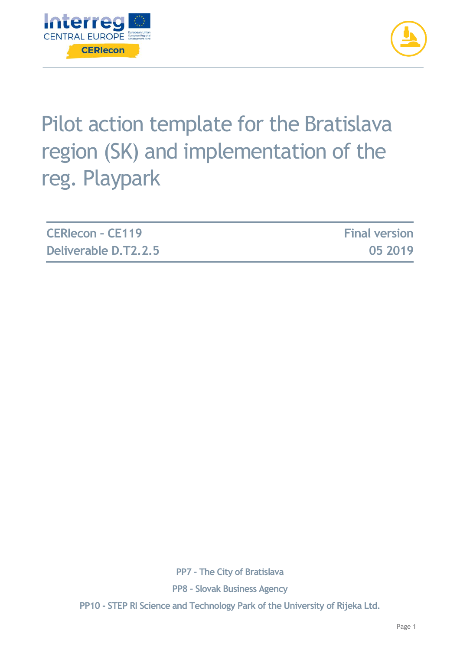



# Pilot action template for the Bratislava region (SK) and implementation of the reg. Playpark

| <b>CERIecon - CE119</b> | <b>Final version</b> |
|-------------------------|----------------------|
| Deliverable D.T2.2.5    | 05 2019              |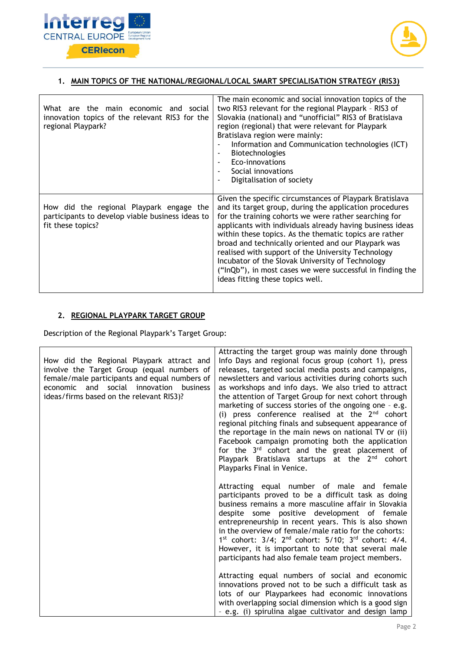



## **1. MAIN TOPICS OF THE NATIONAL/REGIONAL/LOCAL SMART SPECIALISATION STRATEGY (RIS3)**

| What are the main economic and social<br>innovation topics of the relevant RIS3 for the<br>regional Playpark?     | The main economic and social innovation topics of the<br>two RIS3 relevant for the regional Playpark - RIS3 of<br>Slovakia (national) and "unofficial" RIS3 of Bratislava<br>region (regional) that were relevant for Playpark<br>Bratislava region were mainly:<br>Information and Communication technologies (ICT)<br>Biotechnologies<br>Eco-innovations<br>Social innovations<br>Digitalisation of society                                                                                                                                                        |
|-------------------------------------------------------------------------------------------------------------------|----------------------------------------------------------------------------------------------------------------------------------------------------------------------------------------------------------------------------------------------------------------------------------------------------------------------------------------------------------------------------------------------------------------------------------------------------------------------------------------------------------------------------------------------------------------------|
| How did the regional Playpark engage the<br>participants to develop viable business ideas to<br>fit these topics? | Given the specific circumstances of Playpark Bratislava<br>and its target group, during the application procedures<br>for the training cohorts we were rather searching for<br>applicants with individuals already having business ideas<br>within these topics. As the thematic topics are rather<br>broad and technically oriented and our Playpark was<br>realised with support of the University Technology<br>Incubator of the Slovak University of Technology<br>("InQb"), in most cases we were successful in finding the<br>ideas fitting these topics well. |

## **2. REGIONAL PLAYPARK TARGET GROUP**

Description of the Regional Playpark's Target Group:

| How did the Regional Playpark attract and<br>involve the Target Group (equal numbers of<br>female/male participants and equal numbers of<br>economic and social innovation business<br>ideas/firms based on the relevant RIS3)? | Attracting the target group was mainly done through<br>Info Days and regional focus group (cohort 1), press<br>releases, targeted social media posts and campaigns,<br>newsletters and various activities during cohorts such<br>as workshops and info days. We also tried to attract<br>the attention of Target Group for next cohort through<br>marketing of success stories of the ongoing one - e.g.<br>(i) press conference realised at the $2nd$ cohort<br>regional pitching finals and subsequent appearance of<br>the reportage in the main news on national TV or (ii)<br>Facebook campaign promoting both the application<br>for the 3 <sup>rd</sup> cohort and the great placement of |
|---------------------------------------------------------------------------------------------------------------------------------------------------------------------------------------------------------------------------------|--------------------------------------------------------------------------------------------------------------------------------------------------------------------------------------------------------------------------------------------------------------------------------------------------------------------------------------------------------------------------------------------------------------------------------------------------------------------------------------------------------------------------------------------------------------------------------------------------------------------------------------------------------------------------------------------------|
|                                                                                                                                                                                                                                 | Playpark Bratislava startups at the 2 <sup>nd</sup> cohort<br>Playparks Final in Venice.                                                                                                                                                                                                                                                                                                                                                                                                                                                                                                                                                                                                         |
|                                                                                                                                                                                                                                 | Attracting equal number of male and female<br>participants proved to be a difficult task as doing<br>business remains a more masculine affair in Slovakia<br>despite some positive development of female<br>entrepreneurship in recent years. This is also shown<br>in the overview of female/male ratio for the cohorts:<br>$1^{st}$ cohort: $3/4$ ; $2^{nd}$ cohort: $5/10$ ; $3^{rd}$ cohort: $4/4$ .<br>However, it is important to note that several male<br>participants had also female team project members.                                                                                                                                                                             |
|                                                                                                                                                                                                                                 | Attracting equal numbers of social and economic<br>innovations proved not to be such a difficult task as<br>lots of our Playparkees had economic innovations<br>with overlapping social dimension which is a good sign<br>- e.g. (i) spirulina algae cultivator and design lamp                                                                                                                                                                                                                                                                                                                                                                                                                  |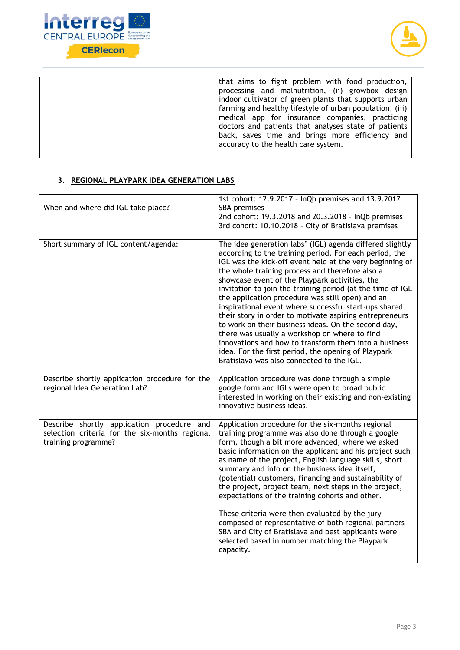



| that aims to fight problem with food production,<br>processing and malnutrition, (ii) growbox design<br>indoor cultivator of green plants that supports urban                                                                                                 |
|---------------------------------------------------------------------------------------------------------------------------------------------------------------------------------------------------------------------------------------------------------------|
| farming and healthy lifestyle of urban population, (iii)<br>medical app for insurance companies, practicing<br>doctors and patients that analyses state of patients<br>back, saves time and brings more efficiency and<br>accuracy to the health care system. |

## **3. REGIONAL PLAYPARK IDEA GENERATION LABS**

| When and where did IGL take place?                                                                                  | 1st cohort: 12.9.2017 - InQb premises and 13.9.2017<br>SBA premises<br>2nd cohort: 19.3.2018 and 20.3.2018 - InQb premises<br>3rd cohort: 10.10.2018 - City of Bratislava premises                                                                                                                                                                                                                                                                                                                                                                                                                                                                                                                                                                                                             |
|---------------------------------------------------------------------------------------------------------------------|------------------------------------------------------------------------------------------------------------------------------------------------------------------------------------------------------------------------------------------------------------------------------------------------------------------------------------------------------------------------------------------------------------------------------------------------------------------------------------------------------------------------------------------------------------------------------------------------------------------------------------------------------------------------------------------------------------------------------------------------------------------------------------------------|
| Short summary of IGL content/agenda:                                                                                | The idea generation labs' (IGL) agenda differed slightly<br>according to the training period. For each period, the<br>IGL was the kick-off event held at the very beginning of<br>the whole training process and therefore also a<br>showcase event of the Playpark activities, the<br>invitation to join the training period (at the time of IGL<br>the application procedure was still open) and an<br>inspirational event where successful start-ups shared<br>their story in order to motivate aspiring entrepreneurs<br>to work on their business ideas. On the second day,<br>there was usually a workshop on where to find<br>innovations and how to transform them into a business<br>idea. For the first period, the opening of Playpark<br>Bratislava was also connected to the IGL. |
| Describe shortly application procedure for the<br>regional Idea Generation Lab?                                     | Application procedure was done through a simple<br>google form and IGLs were open to broad public<br>interested in working on their existing and non-existing<br>innovative business ideas.                                                                                                                                                                                                                                                                                                                                                                                                                                                                                                                                                                                                    |
| Describe shortly application procedure and<br>selection criteria for the six-months regional<br>training programme? | Application procedure for the six-months regional<br>training programme was also done through a google<br>form, though a bit more advanced, where we asked<br>basic information on the applicant and his project such<br>as name of the project, English language skills, short<br>summary and info on the business idea itself,<br>(potential) customers, financing and sustainability of<br>the project, project team, next steps in the project,<br>expectations of the training cohorts and other.<br>These criteria were then evaluated by the jury<br>composed of representative of both regional partners<br>SBA and City of Bratislava and best applicants were<br>selected based in number matching the Playpark<br>capacity.                                                         |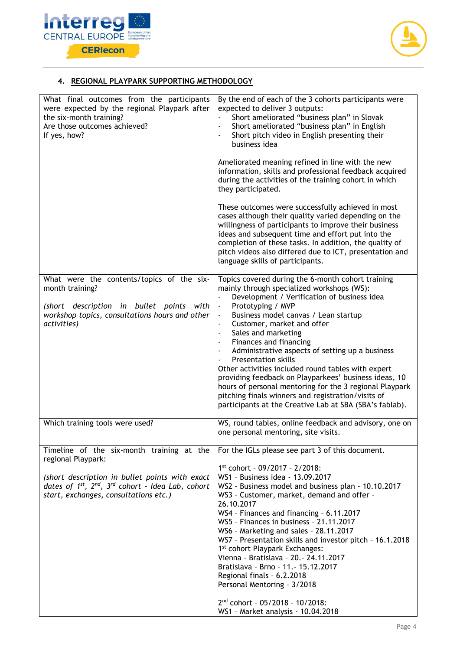



## **4. REGIONAL PLAYPARK SUPPORTING METHODOLOGY**

| What final outcomes from the participants<br>were expected by the regional Playpark after<br>the six-month training?<br>Are those outcomes achieved?<br>If yes, how? | By the end of each of the 3 cohorts participants were<br>expected to deliver 3 outputs:<br>Short ameliorated "business plan" in Slovak<br>Short ameliorated "business plan" in English<br>$\blacksquare$<br>Short pitch video in English presenting their<br>$\overline{\phantom{a}}$<br>business idea<br>Ameliorated meaning refined in line with the new<br>information, skills and professional feedback acquired<br>during the activities of the training cohort in which<br>they participated.<br>These outcomes were successfully achieved in most<br>cases although their quality varied depending on the<br>willingness of participants to improve their business<br>ideas and subsequent time and effort put into the<br>completion of these tasks. In addition, the quality of<br>pitch videos also differed due to ICT, presentation and<br>language skills of participants. |
|----------------------------------------------------------------------------------------------------------------------------------------------------------------------|-----------------------------------------------------------------------------------------------------------------------------------------------------------------------------------------------------------------------------------------------------------------------------------------------------------------------------------------------------------------------------------------------------------------------------------------------------------------------------------------------------------------------------------------------------------------------------------------------------------------------------------------------------------------------------------------------------------------------------------------------------------------------------------------------------------------------------------------------------------------------------------------|
| What were the contents/topics of the six-<br>month training?                                                                                                         | Topics covered during the 6-month cohort training<br>mainly through specialized workshops (WS):                                                                                                                                                                                                                                                                                                                                                                                                                                                                                                                                                                                                                                                                                                                                                                                         |
| (short description in bullet points with<br>workshop topics, consultations hours and other<br>activities)                                                            | Development / Verification of business idea<br>$\blacksquare$<br>Prototyping / MVP<br>$\overline{\phantom{a}}$<br>Business model canvas / Lean startup<br>$\overline{\phantom{a}}$<br>Customer, market and offer<br>$\blacksquare$<br>Sales and marketing<br>$\overline{\phantom{a}}$<br>Finances and financing<br>$\overline{\phantom{a}}$<br>Administrative aspects of setting up a business<br>$\overline{\phantom{a}}$<br><b>Presentation skills</b><br>Other activities included round tables with expert<br>providing feedback on Playparkees' business ideas, 10<br>hours of personal mentoring for the 3 regional Playpark<br>pitching finals winners and registration/visits of<br>participants at the Creative Lab at SBA (SBA's fablab).                                                                                                                                     |
| Which training tools were used?                                                                                                                                      | WS, round tables, online feedback and advisory, one on<br>one personal mentoring, site visits.                                                                                                                                                                                                                                                                                                                                                                                                                                                                                                                                                                                                                                                                                                                                                                                          |
| Timeline of the six-month training at the<br>regional Playpark:                                                                                                      | For the IGLs please see part 3 of this document.                                                                                                                                                                                                                                                                                                                                                                                                                                                                                                                                                                                                                                                                                                                                                                                                                                        |
| (short description in bullet points with exact<br>dates of $1^{st}$ , $2^{nd}$ , $3^{rd}$ cohort - Idea Lab, cohort<br>start, exchanges, consultations etc.)         | 1st cohort - 09/2017 - 2/2018:<br>WS1 - Business idea - 13.09.2017<br>WS2 - Business model and business plan - 10.10.2017<br>WS3 - Customer, market, demand and offer -<br>26.10.2017<br>WS4 - Finances and financing - 6.11.2017<br>WS5 - Finances in business - 21.11.2017<br>WS6 - Marketing and sales - 28.11.2017<br>WS7 - Presentation skills and investor pitch - 16.1.2018<br>1 <sup>st</sup> cohort Playpark Exchanges:<br>Vienna - Bratislava - 20. - 24.11.2017<br>Bratislava - Brno - 11. - 15.12.2017<br>Regional finals - 6.2.2018<br>Personal Mentoring - 3/2018<br>2 <sup>nd</sup> cohort - 05/2018 - 10/2018:                                                                                                                                                                                                                                                          |
|                                                                                                                                                                      | WS1 - Market analysis - 10.04.2018                                                                                                                                                                                                                                                                                                                                                                                                                                                                                                                                                                                                                                                                                                                                                                                                                                                      |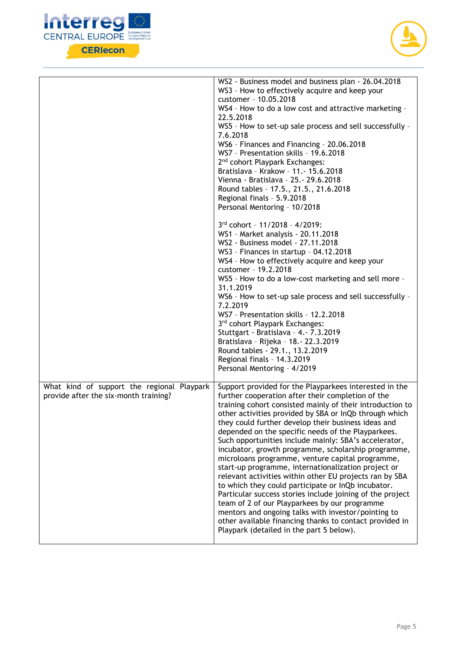



|                                                                                     | WS2 - Business model and business plan - 26.04.2018<br>WS3 - How to effectively acquire and keep your<br>customer - 10.05.2018<br>WS4 - How to do a low cost and attractive marketing -<br>22.5.2018<br>WS5 - How to set-up sale process and sell successfully -<br>7.6.2018<br>WS6 - Finances and Financing - 20.06.2018<br>WS7 - Presentation skills - 19.6.2018<br>2 <sup>nd</sup> cohort Playpark Exchanges:<br>Bratislava - Krakow - 11. - 15.6.2018<br>Vienna - Bratislava - 25. - 29.6.2018<br>Round tables - 17.5., 21.5., 21.6.2018<br>Regional finals - 5.9.2018<br>Personal Mentoring - 10/2018                                                                                                                                                                                                                                                                                                                                                              |
|-------------------------------------------------------------------------------------|-------------------------------------------------------------------------------------------------------------------------------------------------------------------------------------------------------------------------------------------------------------------------------------------------------------------------------------------------------------------------------------------------------------------------------------------------------------------------------------------------------------------------------------------------------------------------------------------------------------------------------------------------------------------------------------------------------------------------------------------------------------------------------------------------------------------------------------------------------------------------------------------------------------------------------------------------------------------------|
|                                                                                     | 3rd cohort - 11/2018 - 4/2019:<br>WS1 - Market analysis - 20.11.2018<br>WS2 - Business model - 27.11.2018<br>WS3 - Finances in startup - 04.12.2018<br>WS4 - How to effectively acquire and keep your<br>customer - 19.2.2018<br>WS5 - How to do a low-cost marketing and sell more -<br>31.1.2019<br>WS6 - How to set-up sale process and sell successfully -<br>7.2.2019<br>WS7 - Presentation skills - 12.2.2018<br>3rd cohort Playpark Exchanges:<br>Stuttgart - Bratislava - 4. - 7.3.2019<br>Bratislava - Rijeka - 18.- 22.3.2019<br>Round tables - 29.1., 13.2.2019<br>Regional finals - 14.3.2019<br>Personal Mentoring - 4/2019                                                                                                                                                                                                                                                                                                                                |
| What kind of support the regional Playpark<br>provide after the six-month training? | Support provided for the Playparkees interested in the<br>further cooperation after their completion of the<br>training cohort consisted mainly of their introduction to<br>other activities provided by SBA or InQb through which<br>they could further develop their business ideas and<br>depended on the specific needs of the Playparkees.<br>Such opportunities include mainly: SBA's accelerator,<br>incubator, growth programme, scholarship programme,<br>microloans programme, venture capital programme,<br>start-up programme, internationalization project or<br>relevant activities within other EU projects ran by SBA<br>to which they could participate or InQb incubator.<br>Particular success stories include joining of the project<br>team of 2 of our Playparkees by our programme<br>mentors and ongoing talks with investor/pointing to<br>other available financing thanks to contact provided in<br>Playpark (detailed in the part 5 below). |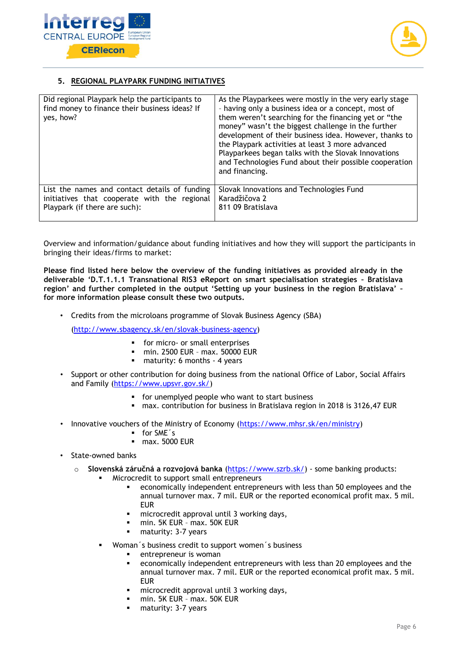



## **5. REGIONAL PLAYPARK FUNDING INITIATIVES**

| Did regional Playpark help the participants to<br>find money to finance their business ideas? If<br>yes, how?                  | As the Playparkees were mostly in the very early stage<br>- having only a business idea or a concept, most of<br>them weren't searching for the financing yet or "the<br>money" wasn't the biggest challenge in the further<br>development of their business idea. However, thanks to<br>the Playpark activities at least 3 more advanced<br>Playparkees began talks with the Slovak Innovations<br>and Technologies Fund about their possible cooperation<br>and financing. |
|--------------------------------------------------------------------------------------------------------------------------------|------------------------------------------------------------------------------------------------------------------------------------------------------------------------------------------------------------------------------------------------------------------------------------------------------------------------------------------------------------------------------------------------------------------------------------------------------------------------------|
| List the names and contact details of funding<br>initiatives that cooperate with the regional<br>Playpark (if there are such): | Slovak Innovations and Technologies Fund<br>Karadžičova 2<br>811 09 Bratislava                                                                                                                                                                                                                                                                                                                                                                                               |

Overview and information/guidance about funding initiatives and how they will support the participants in bringing their ideas/firms to market:

**Please find listed here below the overview of the funding initiatives as provided already in the deliverable 'D.T.1.1.1 Transnational RIS3 eReport on smart specialisation strategies – Bratislava region' and further completed in the output 'Setting up your business in the region Bratislava' – for more information please consult these two outputs.** 

• Credits from the microloans programme of Slovak Business Agency (SBA)

[\(http://www.sbagency.sk/en/slovak-business-agency\)](http://www.sbagency.sk/en/slovak-business-agency)

- for micro- or small enterprises
- **•** min. 2500 EUR max. 50000 EUR<br>**•** maturity: 6 months 4 years
- maturity: 6 months 4 years
- Support or other contribution for doing business from the national Office of Labor, Social Affairs and Family [\(https://www.upsvr.gov.sk/\)](https://www.upsvr.gov.sk/)
	- for unemplyed people who want to start business
	- max. contribution for business in Bratislava region in 2018 is 3126,47 EUR
- Innovative vouchers of the Ministry of Economy [\(https://www.mhsr.sk/en/ministry\)](https://www.mhsr.sk/en/ministry)
	- for SME´s
	- max. 5000 EUR
- State-owned banks
	- o **Slovenská záručná a rozvojová banka** [\(https://www.szrb.sk/\)](https://www.szrb.sk/) some banking products:
		- Microcredit to support small entrepreneurs
			- economically independent entrepreneurs with less than 50 employees and the annual turnover max. 7 mil. EUR or the reported economical profit max. 5 mil. EUR
			- microcredit approval until 3 working days,
			- min. 5K EUR max. 50K EUR
			- maturity: 3-7 years
		- Woman´s business credit to support women´s business
			- entrepreneur is woman
			- economically independent entrepreneurs with less than 20 employees and the annual turnover max. 7 mil. EUR or the reported economical profit max. 5 mil. **FUR**
			- microcredit approval until 3 working days,
			- min. 5K EUR max. 50K EUR
			- **■** maturity: 3-7 years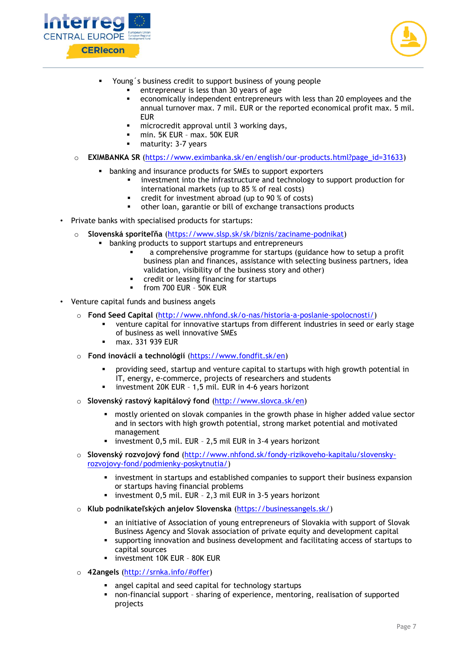



- Young's business credit to support business of young people
	- entrepreneur is less than 30 years of age
	- economically independent entrepreneurs with less than 20 employees and the annual turnover max. 7 mil. EUR or the reported economical profit max. 5 mil. EUR
	- microcredit approval until 3 working days,
	- min. 5K EUR max. 50K EUR
	- maturity: 3-7 years
- o **EXIMBANKA SR** [\(https://www.eximbanka.sk/en/english/our-products.html?page\\_id=31633\)](https://www.eximbanka.sk/en/english/our-products.html?page_id=31633)
	- banking and insurance products for SMEs to support exporters
		- investment into the infrastructure and technology to support production for international markets (up to 85 % of real costs)
		- credit for investment abroad (up to 90 % of costs)
		- other loan, garantie or bill of exchange transactions products
- Private banks with specialised products for startups:
	- o **Slovenská sporiteľňa** [\(https://www.slsp.sk/sk/biznis/zaciname-podnikat\)](https://www.slsp.sk/sk/biznis/zaciname-podnikat)
		- **■** banking products to support startups and entrepreneurs
			- a comprehensive programme for startups (guidance how to setup a profit business plan and finances, assistance with selecting business partners, idea validation, visibility of the business story and other)
			- credit or leasing financing for startups
			- **•** from 700 EUR 50K EUR
- Venture capital funds and business angels
	- o **Fond Seed Capital** [\(http://www.nhfond.sk/o-nas/historia-a-poslanie-spolocnosti/\)](http://www.nhfond.sk/o-nas/historia-a-poslanie-spolocnosti/)
		- venture capital for innovative startups from different industries in seed or early stage of business as well innovative SMEs
		- max. 331 939 EUR
	- o **Fond inovácií a technológií** [\(https://www.fondfit.sk/en\)](https://www.fondfit.sk/en)
		- providing seed, startup and venture capital to startups with high growth potential in IT, energy, e-commerce, projects of researchers and students
		- investment 20K EUR 1,5 mil. EUR in 4-6 years horizont
	- o **Slovenský rastový kapitálový fond** [\(http://www.slovca.sk/en\)](http://www.slovca.sk/en)
		- **•** mostly oriented on slovak companies in the growth phase in higher added value sector and in sectors with high growth potential, strong market potential and motivated management
		- investment  $0.5$  mil. EUR 2,5 mil EUR in 3-4 years horizont
	- o **Slovenský rozvojový fond** [\(http://www.nhfond.sk/fondy-rizikoveho-kapitalu/slovensky](http://www.nhfond.sk/fondy-rizikoveho-kapitalu/slovensky-rozvojovy-fond/podmienky-poskytnutia/)[rozvojovy-fond/podmienky-poskytnutia/\)](http://www.nhfond.sk/fondy-rizikoveho-kapitalu/slovensky-rozvojovy-fond/podmienky-poskytnutia/)
		- investment in startups and established companies to support their business expansion or startups having financial problems
		- investment 0.5 mil. EUR 2.3 mil EUR in 3-5 years horizont
	- o **Klub podnikateľských anjelov Slovenska** [\(https://businessangels.sk/\)](https://businessangels.sk/)
		- an initiative of Association of young entrepreneurs of Slovakia with support of Slovak Business Agency and Slovak association of private equity and development capital
		- supporting innovation and business development and facilitating access of startups to capital sources
		- **·** investment 10K EUR 80K EUR
	- o **42angels** [\(http://srnka.info/#offer\)](http://srnka.info/#offer)
		- angel capital and seed capital for technology startups
		- non-financial support sharing of experience, mentoring, realisation of supported projects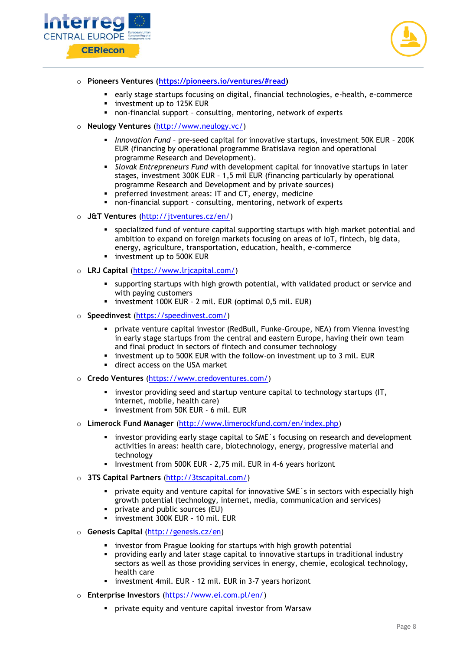



- o **Pioneers Ventures [\(https://pioneers.io/ventures/#read\)](https://pioneers.io/ventures/#read)** 
	- early stage startups focusing on digital, financial technologies, e-health, e-commerce
	- investment up to 125K EUR
	- non-financial support consulting, mentoring, network of experts
- o **Neulogy Ventures** [\(http://www.neulogy.vc/\)](http://www.neulogy.vc/)
	- *Innovation Fund* pre-seed capital for innovative startups, investment 50K EUR 200K EUR (financing by operational programme Bratislava region and operational programme Research and Development).
	- *Slovak Entrepreneurs Fund* with development capital for innovative startups in later stages, investment 300K EUR – 1,5 mil EUR (financing particularly by operational programme Research and Development and by private sources)
	- **•** preferred investment areas: IT and CT, energy, medicine
	- non-financial support consulting, mentoring, network of experts
- o **J&T Ventures** [\(http://jtventures.cz/en/\)](http://jtventures.cz/en/)
	- specialized fund of venture capital supporting startups with high market potential and ambition to expand on foreign markets focusing on areas of IoT, fintech, big data, energy, agriculture, transportation, education, health, e-commerce
	- investment up to 500K EUR
- o **LRJ Capital** [\(https://www.lrjcapital.com/\)](https://www.lrjcapital.com/)
	- supporting startups with high growth potential, with validated product or service and with paying customers
	- investment 100K EUR 2 mil. EUR (optimal 0,5 mil. EUR)
- o **Speedinvest** [\(https://speedinvest.com/\)](https://speedinvest.com/)
	- private venture capital investor (RedBull, Funke-Groupe, NEA) from Vienna investing in early stage startups from the central and eastern Europe, having their own team and final product in sectors of fintech and consumer technology
	- investment up to 500K EUR with the follow-on investment up to 3 mil. EUR
	- direct access on the USA market
- o **Credo Ventures** [\(https://www.credoventures.com/\)](https://www.credoventures.com/)
	- **·** investor providing seed and startup venture capital to technology startups (IT, internet, mobile, health care)
	- **·** investment from 50K EUR 6 mil. EUR
- o **Limerock Fund Manager** [\(http://www.limerockfund.com/en/index.php\)](http://www.limerockfund.com/en/index.php)
	- **.** investor providing early stage capital to SME's focusing on research and development activities in areas: health care, biotechnology, energy, progressive material and technology
	- **EXECUCE:** Investment from 500K EUR 2,75 mil. EUR in 4-6 years horizont
- o **3TS Capital Partners** [\(http://3tscapital.com/\)](http://3tscapital.com/)
	- **•** private equity and venture capital for innovative SME's in sectors with especially high growth potential (technology, internet, media, communication and services)
	- **•** private and public sources (EU)
	- **·** investment 300K EUR 10 mil. EUR
- o **Genesis Capital** [\(http://genesis.cz/en\)](http://genesis.cz/en)
	- **EXT** investor from Prague looking for startups with high growth potential
	- providing early and later stage capital to innovative startups in traditional industry sectors as well as those providing services in energy, chemie, ecological technology, health care
	- investment 4mil. EUR 12 mil. EUR in 3-7 years horizont
- o **Enterprise Investors** [\(https://www.ei.com.pl/en/\)](https://www.ei.com.pl/en/)
	- private equity and venture capital investor from Warsaw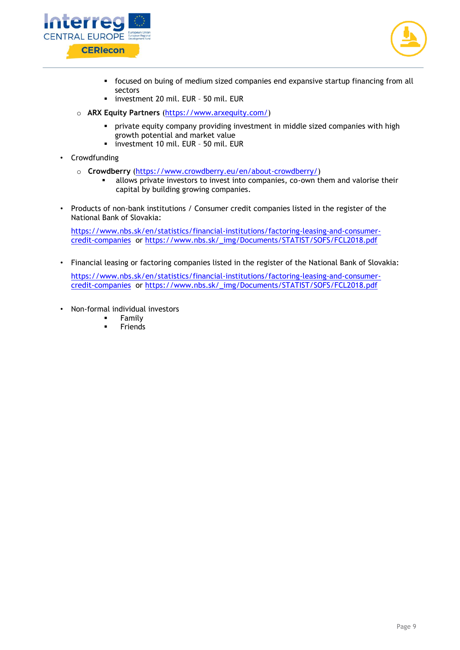



- focused on buing of medium sized companies end expansive startup financing from all sectors
- investment 20 mil. EUR 50 mil. EUR
- o **ARX Equity Partners** [\(https://www.arxequity.com/\)](https://www.arxequity.com/)
	- private equity company providing investment in middle sized companies with high growth potential and market value
	- investment 10 mil. EUR 50 mil. EUR
- Crowdfunding
	- o **Crowdberry** [\(https://www.crowdberry.eu/en/about-crowdberry/\)](https://www.crowdberry.eu/en/about-crowdberry/)
		- allows private investors to invest into companies, co-own them and valorise their capital by building growing companies.
- Products of non-bank institutions / Consumer credit companies listed in the register of the National Bank of Slovakia:

[https://www.nbs.sk/en/statistics/financial-institutions/factoring-leasing-and-consumer](https://www.nbs.sk/en/statistics/financial-institutions/factoring-leasing-and-consumer-credit-companies)[credit-companies](https://www.nbs.sk/en/statistics/financial-institutions/factoring-leasing-and-consumer-credit-companies) or [https://www.nbs.sk/\\_img/Documents/STATIST/SOFS/FCL2018.pdf](https://www.nbs.sk/_img/Documents/STATIST/SOFS/FCL2018.pdf)

• Financial leasing or factoring companies listed in the register of the National Bank of Slovakia:

[https://www.nbs.sk/en/statistics/financial-institutions/factoring-leasing-and-consumer](https://www.nbs.sk/en/statistics/financial-institutions/factoring-leasing-and-consumer-credit-companies)[credit-companies](https://www.nbs.sk/en/statistics/financial-institutions/factoring-leasing-and-consumer-credit-companies) or [https://www.nbs.sk/\\_img/Documents/STATIST/SOFS/FCL2018.pdf](https://www.nbs.sk/_img/Documents/STATIST/SOFS/FCL2018.pdf)

- Non-formal individual investors
	- **Family**
	- **Friends**